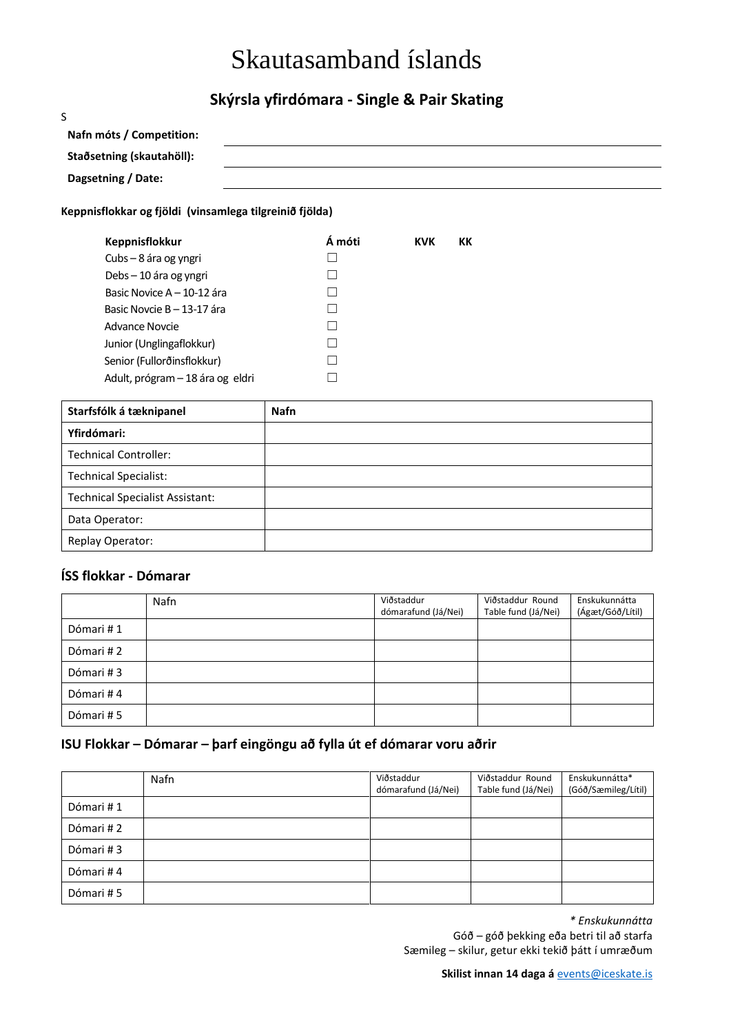# Skautasamband íslands

## **Skýrsla yfirdómara - Single & Pair Skating**

| S                                                       |  |  |
|---------------------------------------------------------|--|--|
| Nafn móts / Competition:                                |  |  |
| Staðsetning (skautahöll):                               |  |  |
| Dagsetning / Date:                                      |  |  |
| Keppnisflokkar og fjöldi (vinsamlega tilgreinið fjölda) |  |  |

## **Keppnisflokkur Á móti KVK KK** Cubs – 8 ára og yngri  $\Box$  $Debs - 10$  ára og yngri  $□$ Basic Novice A – 10-12 ára  $□$ Basic Novcie B – 13-17 ára  $\Box$ Advance Novcie ◯

Junior (Unglingaflokkur) ☐ Senior (Fullorðinsflokkur) **□** Adult, prógram – 18 ára og eldri  $□$ 

| Starfsfólk á tæknipanel                | <b>Nafn</b> |
|----------------------------------------|-------------|
| Yfirdómari:                            |             |
| <b>Technical Controller:</b>           |             |
| <b>Technical Specialist:</b>           |             |
| <b>Technical Specialist Assistant:</b> |             |
| Data Operator:                         |             |
| Replay Operator:                       |             |

### **ÍSS flokkar - Dómarar**

|           | Nafn | Viðstaddur          | Viðstaddur Round    | Enskukunnátta    |
|-----------|------|---------------------|---------------------|------------------|
|           |      | dómarafund (Já/Nei) | Table fund (Já/Nei) | (Ágæt/Góð/Lítil) |
| Dómari #1 |      |                     |                     |                  |
| Dómari #2 |      |                     |                     |                  |
| Dómari #3 |      |                     |                     |                  |
| Dómari #4 |      |                     |                     |                  |
| Dómari #5 |      |                     |                     |                  |

### **ISU Flokkar – Dómarar – þarf eingöngu að fylla út ef dómarar voru aðrir**

|           | Nafn | Viðstaddur<br>dómarafund (Já/Nei) | Viðstaddur Round<br>Table fund (Já/Nei) | Enskukunnátta*<br>(Góð/Sæmileg/Lítil) |
|-----------|------|-----------------------------------|-----------------------------------------|---------------------------------------|
| Dómari #1 |      |                                   |                                         |                                       |
| Dómari #2 |      |                                   |                                         |                                       |
| Dómari #3 |      |                                   |                                         |                                       |
| Dómari #4 |      |                                   |                                         |                                       |
| Dómari #5 |      |                                   |                                         |                                       |

*\* Enskukunnátta*

Góð – góð þekking eða betri til að starfa Sæmileg – skilur, getur ekki tekið þátt í umræðum

**Skilist innan 14 daga á** [events@iceskate.is](mailto:events@iceskate.is)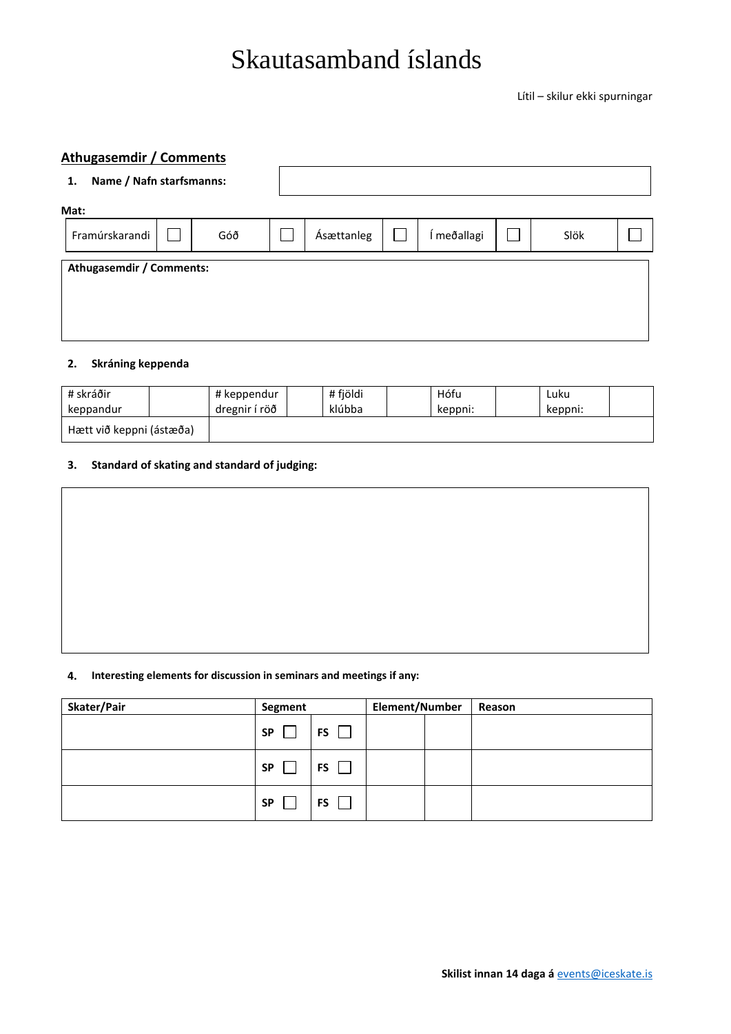## Skautasamband íslands

Lítil – skilur ekki spurningar

## **Athugasemdir / Comments**

| Name / Nafn starfsmanns:<br>1. |                                 |     |  |            |  |             |      |  |
|--------------------------------|---------------------------------|-----|--|------------|--|-------------|------|--|
| Mat:                           |                                 |     |  |            |  |             |      |  |
| Framúrskarandi                 |                                 | Góð |  | Ásættanleg |  | Í meðallagi | Slök |  |
|                                | <b>Athugasemdir / Comments:</b> |     |  |            |  |             |      |  |
|                                |                                 |     |  |            |  |             |      |  |
|                                |                                 |     |  |            |  |             |      |  |
|                                |                                 |     |  |            |  |             |      |  |

### **2. Skráning keppenda**

| # skráðir                | # keppendur   | # fjöldi | Hófu    | Luku    |  |
|--------------------------|---------------|----------|---------|---------|--|
| keppandur                | dregnir í röð | klúbba   | keppni: | keppni: |  |
| Hætt við keppni (ástæða) |               |          |         |         |  |

#### **3. Standard of skating and standard of judging:**

#### **4. Interesting elements for discussion in seminars and meetings if any:**

| Skater/Pair | Segment   |    | Element/Number |  | Reason |
|-------------|-----------|----|----------------|--|--------|
|             | <b>SP</b> | FS |                |  |        |
|             | <b>SP</b> | FS |                |  |        |
|             | <b>SP</b> | FS |                |  |        |